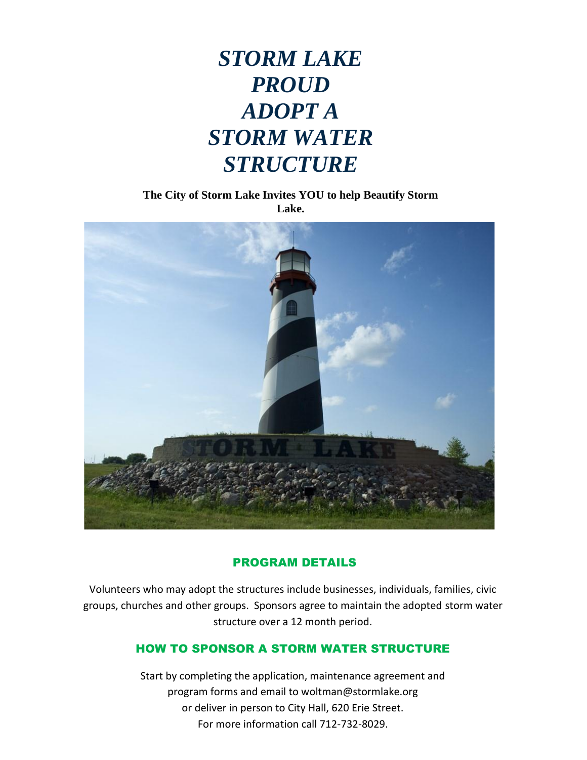## *STORM LAKE PROUD ADOPT A STORM WATER STRUCTURE*

**The City of Storm Lake Invites YOU to help Beautify Storm Lake.**



#### PROGRAM DETAILS

Volunteers who may adopt the structures include businesses, individuals, families, civic groups, churches and other groups. Sponsors agree to maintain the adopted storm water structure over a 12 month period.

#### HOW TO SPONSOR A STORM WATER STRUCTURE

Start by completing the application, maintenance agreement and program forms and email to woltman@stormlake.org or deliver in person to City Hall, 620 Erie Street. For more information call 712-732-8029.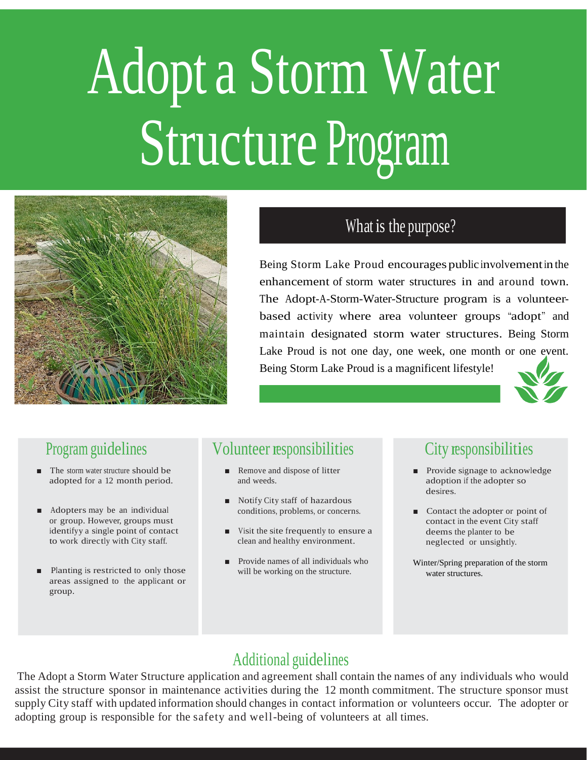# Adopt a Storm Water Structure Program



#### What is the purpose?

Being Storm Lake Proud encourages public involvement in the enhancement of storm water structures in and around town. The Adopt-A-Storm-Water-Structure program is a volunteerbased activity where area volunteer groups "adopt" and maintain designated storm water structures. Being Storm Lake Proud is not one day, one week, one month or one event. Being Storm Lake Proud is a magnificent lifestyle!



#### Program guidelines

- The storm water structure should be adopted for a 12 month period.
- Adopters may be an individual or group. However, groups must identifyy a single point of contact to work directly with City staff.
- Planting is restricted to only those areas assigned to the applicant or group.

#### Volunteer responsibilities

- Remove and dispose of litter and weeds.
- Notify City staff of hazardous conditions, problems, or concerns.
- Visit the site frequently to ensure a clean and healthy environment.
- Provide names of all individuals who will be working on the structure.

### City responsibilities

- Provide signage to acknowledge adoption if the adopter so desires.
- Contact the adopter or point of contact in the event City staff deems the planter to be neglected or unsightly.
- Winter/Spring preparation of the storm water structures.

#### Additional guidelines

The Adopt a Storm Water Structure application and agreement shall contain the names of any individuals who would assist the structure sponsor in maintenance activities during the 12 month commitment. The structure sponsor must supply City staff with updated information should changes in contact information or volunteers occur. The adopter or adopting group is responsible for the safety and well-being of volunteers at all times.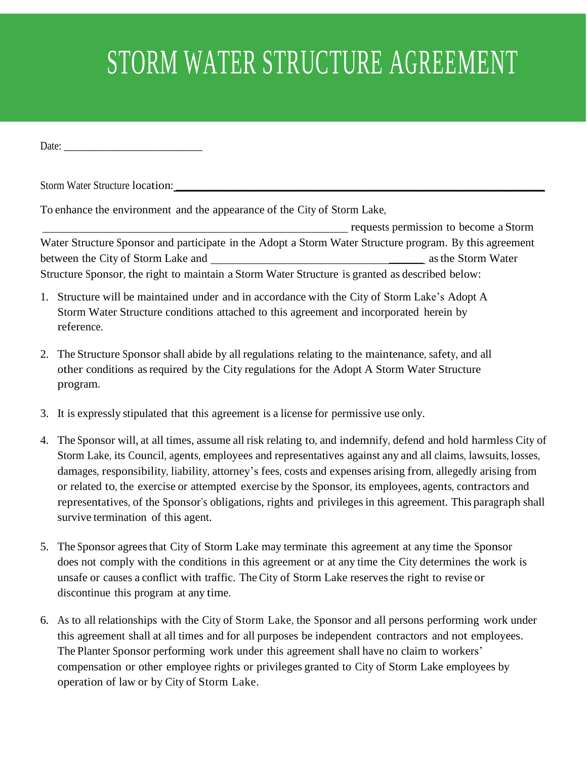# STORM WATER STRUCTURE AGREEMENT

Date:

Storm Water Structure location:

To enhance the environment and the appearance of the City of Storm Lake,

requests permission to become a Storm Water Structure Sponsor and participate in the Adopt a Storm Water Structure program. By this agreement between the City of Storm Lake and \_\_\_\_\_\_ asthe Storm Water Structure Sponsor, the right to maintain a Storm Water Structure is granted as described below:

- 1. Structure will be maintained under and in accordance with the City of Storm Lake's Adopt A Storm Water Structure conditions attached to this agreement and incorporated herein by reference.
- 2. The Structure Sponsor shall abide by all regulations relating to the maintenance, safety, and all other conditions asrequired by the City regulations for the Adopt A Storm Water Structure program.
- 3. It is expressly stipulated that this agreement is a license for permissive use only.
- 4. The Sponsor will, at all times, assume all risk relating to, and indemnify, defend and hold harmless City of Storm Lake, its Council, agents, employees and representatives against any and all claims, lawsuits, losses, damages, responsibility, liability, attorney's fees, costs and expenses arising from, allegedly arising from or related to, the exercise or attempted exercise by the Sponsor, its employees, agents, contractors and representatives, of the Sponsor's obligations, rights and privileges in this agreement. This paragraph shall survive termination of this agent.
- 5. The Sponsor agreesthat City of Storm Lake may terminate this agreement at any time the Sponsor does not comply with the conditions in this agreement or at any time the City determines the work is unsafe or causes a conflict with traffic. The City of Storm Lake reservesthe right to revise or discontinue this program at any time.
- 6. As to all relationships with the City of Storm Lake, the Sponsor and all persons performing work under this agreement shall at all times and for all purposes be independent contractors and not employees. The Planter Sponsor performing work under this agreement shall have no claim to workers' compensation or other employee rights or privileges granted to City of Storm Lake employees by operation of law or by City of Storm Lake.